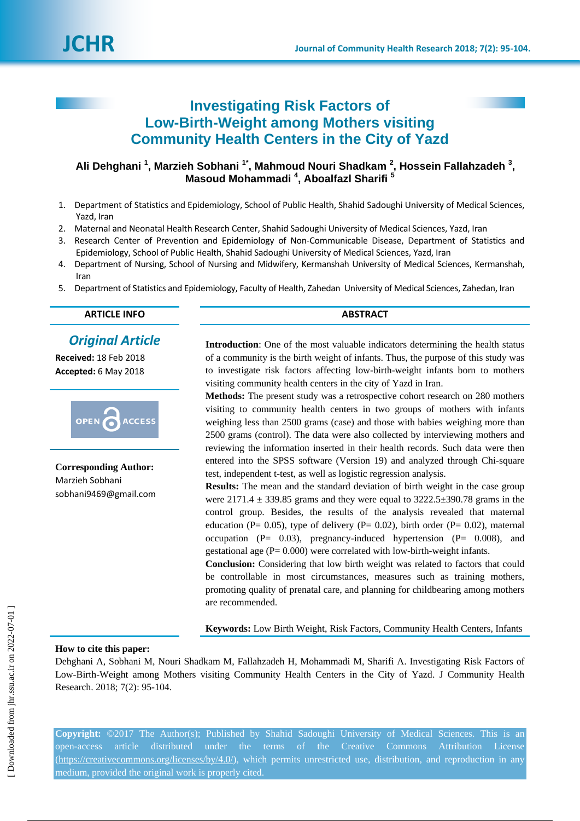

# **Investigating Risk Factors of Low-Birth-Weight among Mothers visiting Community Health Centers in the City of Yazd**

# **Ali Dehghani <sup>1</sup> , Marzieh Sobhani 1\*, Mahmoud Nouri Shadkam <sup>2</sup> , Hossein Fallahzadeh <sup>3</sup> , Masoud Mohammadi <sup>4</sup> , Aboalfazl Sharifi <sup>5</sup>**

- 1. Department of Statistics and Epidemiology, School of Public Health, Shahid Sadoughi University of Medical Sciences, Yazd, Iran
- 2. Maternal and Neonatal Health Research Center, Shahid Sadoughi University of Medical Sciences, Yazd, Iran
- 3. Research Center of Prevention and Epidemiology of Non-Communicable Disease, Department of Statistics and Epidemiology, School of Public Health, Shahid Sadoughi University of Medical Sciences, Yazd, Iran
- 4. Department of Nursing, School of Nursing and Midwifery, Kermanshah University of Medical Sciences, Kermanshah, Iran
- 5. Department of Statistics and Epidemiology, Faculty of Health, Zahedan University of Medical Sciences, Zahedan, Iran

# **ARTICLE INFO ABSTRACT**

# *Original Article*

**Received:** 18 Feb 2018 **Accepted:** 6 May 2018



**Corresponding Author:** Marzieh Sobhani sobhani9469@gmail.com

**Introduction**: One of the most valuable indicators determining the health status of a community is the birth weight of infants. Thus, the purpose of this study was to investigate risk factors affecting low-birth-weight infants born to mothers visiting community health centers in the city of Yazd in Iran.

**Methods:** The present study was a retrospective cohort research on 280 mothers visiting to community health centers in two groups of mothers with infants weighing less than 2500 grams (case) and those with babies weighing more than 2500 grams (control). The data were also collected by interviewing mothers and reviewing the information inserted in their health records. Such data were then entered into the SPSS software (Version 19) and analyzed through Chi-square test, independent t-test, as well as logistic regression analysis.

**Results:** The mean and the standard deviation of birth weight in the case group were  $2171.4 \pm 339.85$  grams and they were equal to  $3222.5 \pm 390.78$  grams in the control group. Besides, the results of the analysis revealed that maternal education (P= 0.05), type of delivery (P= 0.02), birth order (P= 0.02), maternal occupation (P $= 0.03$ ), pregnancy-induced hypertension (P $= 0.008$ ), and gestational age  $(P= 0.000)$  were correlated with low-birth-weight infants.

**Conclusion:** Considering that low birth weight was related to factors that could be controllable in most circumstances, measures such as training mothers, promoting quality of prenatal care, and planning for childbearing among mothers are recommended.

**Keywords:** Low Birth Weight, Risk Factors, Community Health Centers, Infants

# **How to cite this paper:**

Dehghani A, Sobhani M, Nouri Shadkam M, Fallahzadeh H, Mohammadi M, Sharifi A. Investigating Risk Factors of Low-Birth-Weight among Mothers visiting Community Health Centers in the City of Yazd. J Community Health Research. 2018; 7(2): 95-104.

**Copyright:** ©2017 The Author(s); Published by Shahid Sadoughi University of Medical Sciences. This is an open-access article distributed under the terms of the Creative Commons Attribution License (https://creativecommons.org/licenses/by/4.0/), which permits unrestricted use, distribution, and reproduction in any medium, provided the original work is properly cited.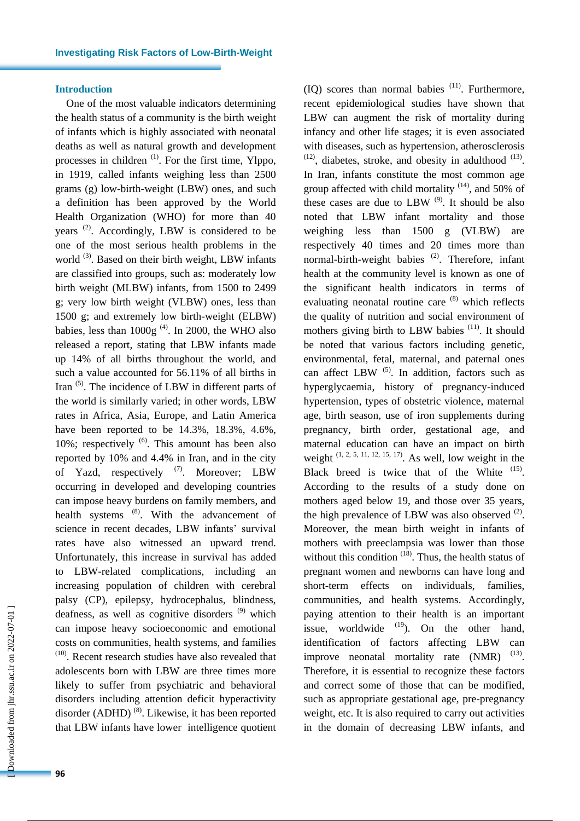# **Introduction**

One of the most valuable indicators determining the health status of a community is the birth weight of infants which is highly associated with neonatal deaths as well as natural growth and development processes in children  $(1)$ . For the first time, Ylppo, in 1919, called infants weighing less than 2500 grams (g) low-birth-weight (LBW) ones, and such a definition has been approved by the World Health Organization (WHO) for more than 40 years<sup>(2)</sup>. Accordingly, LBW is considered to be one of the most serious health problems in the world<sup>(3)</sup>. Based on their birth weight, LBW infants are classified into groups, such as: moderately low birth weight (MLBW) infants, from 1500 to 2499 g; very low birth weight (VLBW) ones, less than 1500 g; and extremely low birth-weight (ELBW) babies, less than  $1000g^{(4)}$ . In 2000, the WHO also released a report, stating that LBW infants made up 14% of all births throughout the world, and such a value accounted for 56.11% of all births in Iran<sup>(5)</sup>. The incidence of LBW in different parts of the world is similarly varied; in other words, LBW rates in Africa, Asia, Europe, and Latin America have been reported to be 14.3%, 18.3%, 4.6%, 10%; respectively  $(6)$ . This amount has been also reported by 10% and 4.4% in Iran, and in the city of Yazd, respectively  $(7)$ . Moreover; LBW occurring in developed and developing countries can impose heavy burdens on family members, and health systems <sup>(8)</sup>. With the advancement of science in recent decades, LBW infants' survival rates have also witnessed an upward trend. Unfortunately, this increase in survival has added to LBW-related complications, including an increasing population of children with cerebral palsy (CP), epilepsy, hydrocephalus, blindness, deafness, as well as cognitive disorders  $(9)$  which can impose heavy socioeconomic and emotional costs on communities, health systems, and families (10) . Recent research studies have also revealed that adolescents born with LBW are three times more likely to suffer from psychiatric and behavioral disorders including attention deficit hyperactivity disorder (ADHD)<sup>(8)</sup>. Likewise, it has been reported that LBW infants have lower intelligence quotient

 [\[ Downloaded from jhr.ssu.ac.ir on 2022-0](https://jhr.ssu.ac.ir/article-1-417-en.html)7-01 ] Downloaded from jhr.ssu.ac.ir on 2022-07-01]

 $(IQ)$  scores than normal babies  $(11)$ . Furthermore, recent epidemiological studies have shown that LBW can augment the risk of mortality during infancy and other life stages; it is even associated with diseases, such as hypertension, atherosclerosis  $(12)$ , diabetes, stroke, and obesity in adulthood  $(13)$ . In Iran, infants constitute the most common age group affected with child mortality  $(14)$ , and 50% of these cases are due to LBW  $(9)$ . It should be also noted that LBW infant mortality and those weighing less than 1500 g (VLBW) are respectively 40 times and 20 times more than normal-birth-weight babies<sup>(2)</sup>. Therefore, infant health at the community level is known as one of the significant health indicators in terms of evaluating neonatal routine care <sup>(8)</sup> which reflects the quality of nutrition and social environment of mothers giving birth to LBW babies <sup>(11)</sup>. It should be noted that various factors including genetic, environmental, fetal, maternal, and paternal ones can affect LBW  $<sup>(5)</sup>$ . In addition, factors such as</sup> hyperglycaemia, history of pregnancy-induced hypertension, types of obstetric violence, maternal age, birth season, use of iron supplements during pregnancy, birth order, gestational age, and maternal education can have an impact on birth weight  $(1, 2, 5, 11, 12, 15, 17)$ . As well, low weight in the Black breed is twice that of the White  $(15)$ . According to the results of a study done on mothers aged below 19, and those over 35 years, the high prevalence of LBW was also observed  $(2)$ . Moreover, the mean birth weight in infants of mothers with preeclampsia was lower than those without this condition  $(18)$ . Thus, the health status of pregnant women and newborns can have long and short-term effects on individuals, families, communities, and health systems. Accordingly, paying attention to their health is an important issue, worldwide  $(19)$ . On the other hand, identification of factors affecting LBW can improve neonatal mortality rate  $(NMR)$ <sup>(13)</sup>. Therefore, it is essential to recognize these factors and correct some of those that can be modified, such as appropriate gestational age, pre-pregnancy weight, etc. It is also required to carry out activities in the domain of decreasing LBW infants, and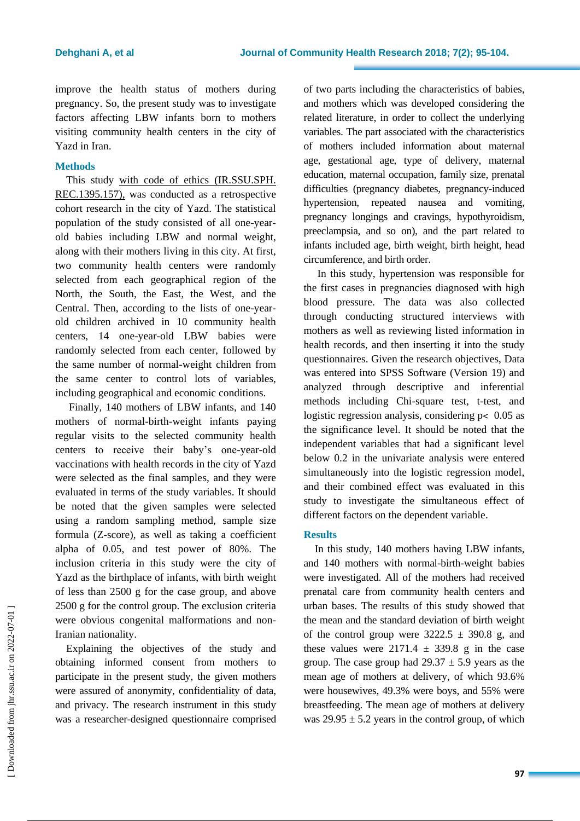improve the health status of mothers during pregnancy. So, the present study was to investigate factors affecting LBW infants born to mothers visiting community health centers in the city of Yazd in Iran.

# **Methods**

This study with code of ethics (IR.SSU.SPH. REC.1395.157), was conducted as a retrospective cohort research in the city of Yazd. The statistical population of the study consisted of all one-yearold babies including LBW and normal weight, along with their mothers living in this city. At first, two community health centers were randomly selected from each geographical region of the North, the South, the East, the West, and the Central. Then, according to the lists of one-yearold children archived in 10 community health centers, 14 one-year-old LBW babies were randomly selected from each center, followed by the same number of normal-weight children from the same center to control lots of variables, including geographical and economic conditions.

Finally, 140 mothers of LBW infants, and 140 mothers of normal-birth-weight infants paying regular visits to the selected community health centers to receive their baby's one-year-old vaccinations with health records in the city of Yazd were selected as the final samples, and they were evaluated in terms of the study variables. It should be noted that the given samples were selected using a random sampling method, sample size formula (Z-score), as well as taking a coefficient alpha of 0.05, and test power of 80%. The inclusion criteria in this study were the city of Yazd as the birthplace of infants, with birth weight of less than 2500 g for the case group, and above 2500 g for the control group. The exclusion criteria were obvious congenital malformations and non-Iranian nationality.

Explaining the objectives of the study and obtaining informed consent from mothers to participate in the present study, the given mothers were assured of anonymity, confidentiality of data, and privacy. The research instrument in this study was a researcher-designed questionnaire comprised of two parts including the characteristics of babies, and mothers which was developed considering the related literature, in order to collect the underlying variables. The part associated with the characteristics of mothers included information about maternal age, gestational age, type of delivery, maternal education, maternal occupation, family size, prenatal difficulties (pregnancy diabetes, pregnancy-induced hypertension, repeated nausea and vomiting, pregnancy longings and cravings, hypothyroidism, preeclampsia, and so on), and the part related to infants included age, birth weight, birth height, head circumference, and birth order.

In this study, hypertension was responsible for the first cases in pregnancies diagnosed with high blood pressure. The data was also collected through conducting structured interviews with mothers as well as reviewing listed information in health records, and then inserting it into the study questionnaires. Given the research objectives, Data was entered into SPSS Software (Version 19) and analyzed through descriptive and inferential methods including Chi-square test, t-test, and logistic regression analysis, considering  $p < 0.05$  as the significance level. It should be noted that the independent variables that had a significant level below 0.2 in the univariate analysis were entered simultaneously into the logistic regression model, and their combined effect was evaluated in this study to investigate the simultaneous effect of different factors on the dependent variable.

# **Results**

In this study, 140 mothers having LBW infants, and 140 mothers with normal-birth-weight babies were investigated. All of the mothers had received prenatal care from community health centers and urban bases. The results of this study showed that the mean and the standard deviation of birth weight of the control group were  $3222.5 \pm 390.8$  g, and these values were  $2171.4 \pm 339.8$  g in the case group. The case group had  $29.37 \pm 5.9$  years as the mean age of mothers at delivery, of which 93.6% were housewives, 49.3% were boys, and 55% were breastfeeding. The mean age of mothers at delivery was  $29.95 \pm 5.2$  years in the control group, of which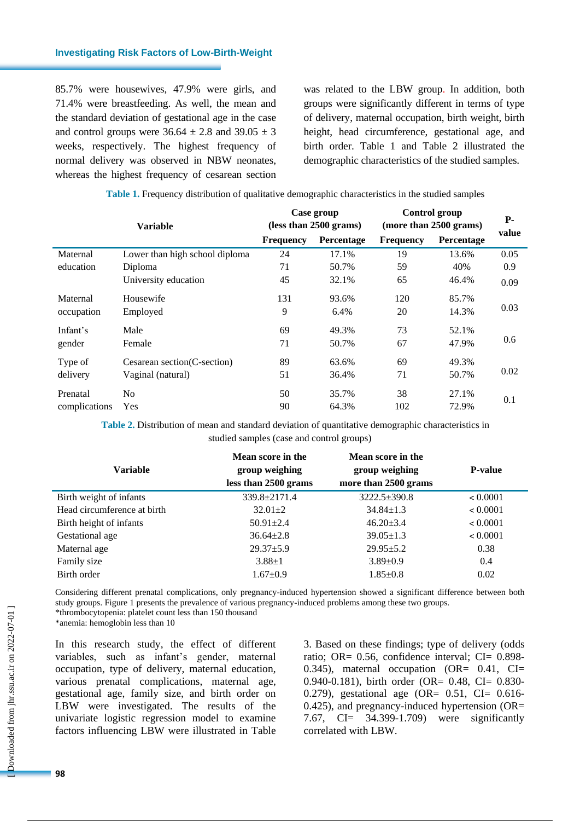85.7% were housewives, 47.9% were girls, and 71.4% were breastfeeding. As well, the mean and the standard deviation of gestational age in the case and control groups were  $36.64 \pm 2.8$  and  $39.05 \pm 3$ weeks, respectively. The highest frequency of normal delivery was observed in NBW neonates, whereas the highest frequency of cesarean section was related to the LBW group. In addition, both groups were significantly different in terms of type of delivery, maternal occupation, birth weight, birth height, head circumference, gestational age, and birth order. Table 1 and Table 2 illustrated the demographic characteristics of the studied samples.

| Table 1. Frequency distribution of qualitative demographic characteristics in the studied samples |  |  |  |
|---------------------------------------------------------------------------------------------------|--|--|--|
|                                                                                                   |  |  |  |

|               |                                | Case group<br>(less than 2500 grams) |                   | Control group<br>(more than 2500 grams) |            | <b>P</b> - |
|---------------|--------------------------------|--------------------------------------|-------------------|-----------------------------------------|------------|------------|
|               | <b>Variable</b>                | <b>Frequency</b>                     | <b>Percentage</b> | <b>Frequency</b>                        | Percentage | value      |
| Maternal      | Lower than high school diploma | 24                                   | 17.1%             | 19                                      | 13.6%      | 0.05       |
| education     | Diploma                        | 71                                   | 50.7%             | 59                                      | 40%        | 0.9        |
|               | University education           | 45                                   | 32.1%             | 65                                      | 46.4%      | 0.09       |
| Maternal      | Housewife                      | 131                                  | 93.6%             | 120                                     | 85.7%      |            |
| occupation    | Employed                       | 9                                    | 6.4%              | 20                                      | 14.3%      | 0.03       |
| Infant's      | Male                           | 69                                   | 49.3%             | 73                                      | 52.1%      |            |
| gender        | Female                         | 71                                   | 50.7%             | 67                                      | 47.9%      | 0.6        |
| Type of       | Cesarean section(C-section)    | 89                                   | 63.6%             | 69                                      | 49.3%      |            |
| delivery      | Vaginal (natural)              | 51                                   | 36.4%             | 71                                      | 50.7%      | 0.02       |
| Prenatal      | No                             | 50                                   | 35.7%             | 38                                      | 27.1%      | 0.1        |
| complications | Yes                            | 90                                   | 64.3%             | 102                                     | 72.9%      |            |

**Table 2.** Distribution of mean and standard deviation of quantitative demographic characteristics in studied samples (case and control groups)

| <b>Variable</b>             | Mean score in the<br>group weighing<br>less than 2500 grams | Mean score in the<br>group weighing<br>more than 2500 grams | <b>P-value</b> |
|-----------------------------|-------------------------------------------------------------|-------------------------------------------------------------|----------------|
| Birth weight of infants     | 339.8±2171.4                                                | 3222.5±390.8                                                | < 0.0001       |
| Head circumference at birth | $32.01 \pm 2$                                               | $34.84 \pm 1.3$                                             | < 0.0001       |
| Birth height of infants     | $50.91 \pm 2.4$                                             | $46.20 \pm 3.4$                                             | < 0.0001       |
| Gestational age             | $36.64 \pm 2.8$                                             | $39.05 \pm 1.3$                                             | < 0.0001       |
| Maternal age                | $29.37 \pm 5.9$                                             | $29.95 \pm 5.2$                                             | 0.38           |
| Family size                 | $3.88 \pm 1$                                                | $3.89 \pm 0.9$                                              | 0.4            |
| Birth order                 | $1.67 \pm 0.9$                                              | $1.85 \pm 0.8$                                              | 0.02           |

Considering different prenatal complications, only pregnancy-induced hypertension showed a significant difference between both study groups. Figure 1 presents the prevalence of various pregnancy-induced problems among these two groups. \*thrombocytopenia: platelet count less than 150 thousand

\*anemia: hemoglobin less than 10

In this research study, the effect of different variables, such as infant's gender, maternal occupation, type of delivery, maternal education, various prenatal complications, maternal age, gestational age, family size, and birth order on LBW were investigated. The results of the univariate logistic regression model to examine factors influencing LBW were illustrated in Table

3. Based on these findings; type of delivery (odds ratio; OR= 0.56, confidence interval; CI= 0.898-0.345), maternal occupation (OR= 0.41, CI= 0.940-0.181), birth order (OR= 0.48, CI= 0.830-0.279), gestational age (OR= 0.51, CI= 0.616- 0.425), and pregnancy-induced hypertension (OR= 7.67, CI= 34.399-1.709) were significantly correlated with LBW.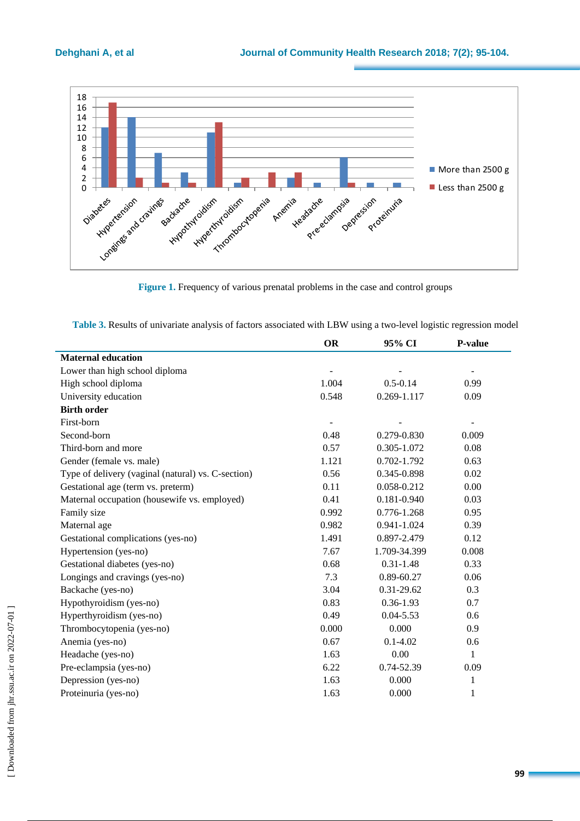

**Figure 1.** Frequency of various prenatal problems in the case and control groups

| Table 3. Results of univariate analysis of factors associated with LBW using a two-level logistic regression model |  |  |
|--------------------------------------------------------------------------------------------------------------------|--|--|
|--------------------------------------------------------------------------------------------------------------------|--|--|

|                                                    | <b>OR</b> | 95% CI         | P-value |
|----------------------------------------------------|-----------|----------------|---------|
| <b>Maternal education</b>                          |           |                |         |
| Lower than high school diploma                     |           |                |         |
| High school diploma                                | 1.004     | $0.5 - 0.14$   | 0.99    |
| University education                               | 0.548     | 0.269-1.117    | 0.09    |
| <b>Birth order</b>                                 |           |                |         |
| First-born                                         |           |                |         |
| Second-born                                        | 0.48      | 0.279-0.830    | 0.009   |
| Third-born and more                                | 0.57      | 0.305-1.072    | 0.08    |
| Gender (female vs. male)                           | 1.121     | 0.702-1.792    | 0.63    |
| Type of delivery (vaginal (natural) vs. C-section) | 0.56      | 0.345-0.898    | 0.02    |
| Gestational age (term vs. preterm)                 | 0.11      | 0.058-0.212    | 0.00    |
| Maternal occupation (housewife vs. employed)       | 0.41      | 0.181-0.940    | 0.03    |
| Family size                                        | 0.992     | 0.776-1.268    | 0.95    |
| Maternal age                                       | 0.982     | 0.941-1.024    | 0.39    |
| Gestational complications (yes-no)                 | 1.491     | 0.897-2.479    | 0.12    |
| Hypertension (yes-no)                              | 7.67      | 1.709-34.399   | 0.008   |
| Gestational diabetes (yes-no)                      | 0.68      | $0.31 - 1.48$  | 0.33    |
| Longings and cravings (yes-no)                     | 7.3       | $0.89 - 60.27$ | 0.06    |
| Backache (yes-no)                                  | 3.04      | $0.31 - 29.62$ | 0.3     |
| Hypothyroidism (yes-no)                            | 0.83      | $0.36 - 1.93$  | 0.7     |
| Hyperthyroidism (yes-no)                           | 0.49      | $0.04 - 5.53$  | 0.6     |
| Thrombocytopenia (yes-no)                          | 0.000     | 0.000          | 0.9     |
| Anemia (yes-no)                                    | 0.67      | $0.1 - 4.02$   | 0.6     |
| Headache (yes-no)                                  | 1.63      | 0.00           | 1       |
| Pre-eclampsia (yes-no)                             | 6.22      | 0.74-52.39     | 0.09    |
| Depression (yes-no)                                | 1.63      | 0.000          | 1       |
| Proteinuria (yes-no)                               | 1.63      | 0.000          | 1       |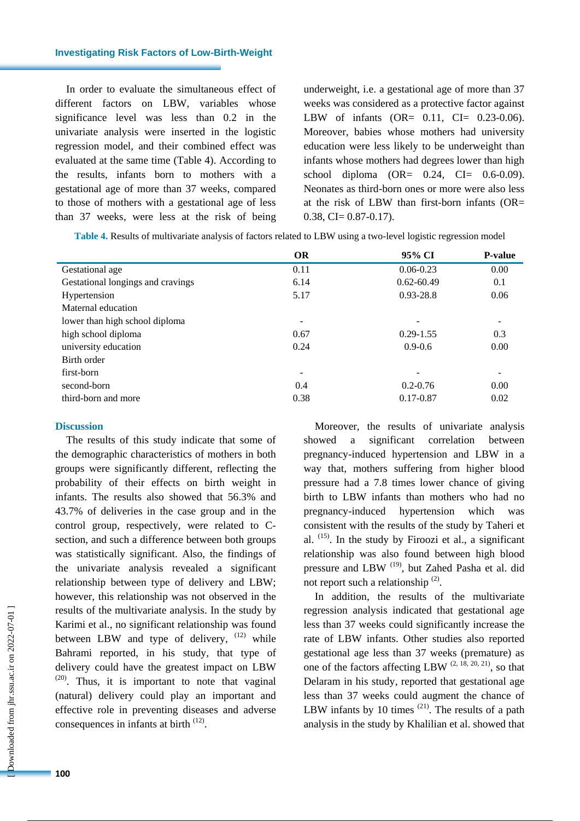In order to evaluate the simultaneous effect of different factors on LBW, variables whose significance level was less than 0.2 in the univariate analysis were inserted in the logistic regression model, and their combined effect was evaluated at the same time (Table 4). According to the results, infants born to mothers with a gestational age of more than 37 weeks, compared to those of mothers with a gestational age of less than 37 weeks, were less at the risk of being underweight, i.e. a gestational age of more than 37 weeks was considered as a protective factor against LBW of infants (OR= 0.11, CI= 0.23-0.06). Moreover, babies whose mothers had university education were less likely to be underweight than infants whose mothers had degrees lower than high school diploma  $(OR = 0.24, CI = 0.6-0.09)$ . Neonates as third-born ones or more were also less at the risk of LBW than first-born infants  $(OR=$  $0.38$ , CI=  $0.87-0.17$ ).

| Table 4. Results of multivariate analysis of factors related to LBW using a two-level logistic regression model |  |
|-----------------------------------------------------------------------------------------------------------------|--|
|                                                                                                                 |  |

|                                   | <b>OR</b> | 95% CI                   | <b>P-value</b>           |
|-----------------------------------|-----------|--------------------------|--------------------------|
| Gestational age                   | 0.11      | $0.06 - 0.23$            | 0.00                     |
| Gestational longings and cravings | 6.14      | $0.62 - 60.49$           | 0.1                      |
| Hypertension                      | 5.17      | $0.93 - 28.8$            | 0.06                     |
| Maternal education                |           |                          |                          |
| lower than high school diploma    | ۰         | $\overline{\phantom{a}}$ | $\overline{\phantom{a}}$ |
| high school diploma               | 0.67      | $0.29 - 1.55$            | 0.3                      |
| university education              | 0.24      | $0.9 - 0.6$              | 0.00                     |
| Birth order                       |           |                          |                          |
| first-born                        |           |                          |                          |
| second-born                       | 0.4       | $0.2 - 0.76$             | 0.00                     |
| third-born and more               | 0.38      | $0.17 - 0.87$            | 0.02                     |

# **Discussion**

The results of this study indicate that some of the demographic characteristics of mothers in both groups were significantly different, reflecting the probability of their effects on birth weight in infants. The results also showed that 56.3% and 43.7% of deliveries in the case group and in the control group, respectively, were related to Csection, and such a difference between both groups was statistically significant. Also, the findings of the univariate analysis revealed a significant relationship between type of delivery and LBW; however, this relationship was not observed in the results of the multivariate analysis. In the study by Karimi et al., no significant relationship was found between LBW and type of delivery,  $(12)$  while Bahrami reported, in his study, that type of delivery could have the greatest impact on LBW  $(20)$ . Thus, it is important to note that vaginal (natural) delivery could play an important and effective role in preventing diseases and adverse consequences in infants at birth  $(12)$ .

Moreover, the results of univariate analysis showed a significant correlation between pregnancy-induced hypertension and LBW in a way that, mothers suffering from higher blood pressure had a 7.8 times lower chance of giving birth to LBW infants than mothers who had no pregnancy-induced hypertension which was consistent with the results of the study by Taheri et al.  $(15)$ . In the study by Firoozi et al., a significant relationship was also found between high blood pressure and LBW<sup>(19)</sup>, but Zahed Pasha et al. did not report such a relationship  $(2)$ .

In addition, the results of the multivariate regression analysis indicated that gestational age less than 37 weeks could significantly increase the rate of LBW infants. Other studies also reported gestational age less than 37 weeks (premature) as one of the factors affecting LBW  $(2, 18, 20, 21)$ , so that Delaram in his study, reported that gestational age less than 37 weeks could augment the chance of LBW infants by 10 times  $(21)$ . The results of a path analysis in the study by Khalilian et al. showed that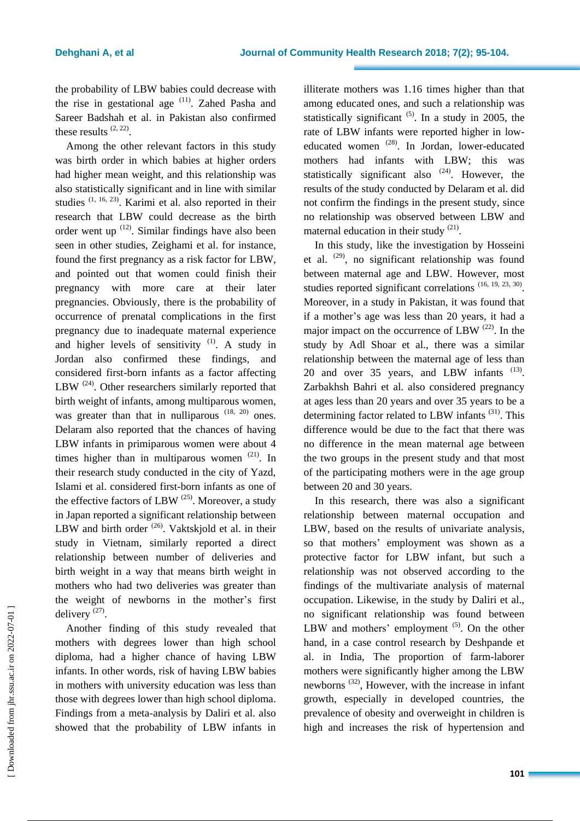the probability of LBW babies could decrease with the rise in gestational age  $(11)$ . Zahed Pasha and Sareer Badshah et al. in Pakistan also confirmed these results  $(2, 22)$ .

Among the other relevant factors in this study was birth order in which babies at higher orders had higher mean weight, and this relationship was also statistically significant and in line with similar studies  $(1, 16, 23)$ . Karimi et al. also reported in their research that LBW could decrease as the birth order went up  $(12)$ . Similar findings have also been seen in other studies, Zeighami et al. for instance, found the first pregnancy as a risk factor for LBW, and pointed out that women could finish their pregnancy with more care at their later pregnancies. Obviously, there is the probability of occurrence of prenatal complications in the first pregnancy due to inadequate maternal experience and higher levels of sensitivity  $(1)$ . A study in Jordan also confirmed these findings, and considered first-born infants as a factor affecting LBW  $^{(24)}$ . Other researchers similarly reported that birth weight of infants, among multiparous women, was greater than that in nulliparous  $(18, 20)$  ones. Delaram also reported that the chances of having LBW infants in primiparous women were about 4 times higher than in multiparous women  $(21)$ . In their research study conducted in the city of Yazd, Islami et al. considered first-born infants as one of the effective factors of LBW  $(25)$ . Moreover, a study in Japan reported a significant relationship between LBW and birth order  $(26)$ . Vaktskjold et al. in their study in Vietnam, similarly reported a direct relationship between number of deliveries and birth weight in a way that means birth weight in mothers who had two deliveries was greater than the weight of newborns in the mother's first delivery  $(27)$ .

Another finding of this study revealed that mothers with degrees lower than high school diploma, had a higher chance of having LBW infants. In other words, risk of having LBW babies in mothers with university education was less than those with degrees lower than high school diploma. Findings from a meta-analysis by Daliri et al. also showed that the probability of LBW infants in illiterate mothers was 1.16 times higher than that among educated ones, and such a relationship was statistically significant  $(5)$ . In a study in 2005, the rate of LBW infants were reported higher in loweducated women (28). In Jordan, lower-educated mothers had infants with LBW; this was statistically significant also  $(24)$ . However, the results of the study conducted by Delaram et al. did not confirm the findings in the present study, since no relationship was observed between LBW and maternal education in their study  $(21)$ .

In this study, like the investigation by Hosseini et al.  $(29)$ , no significant relationship was found between maternal age and LBW. However, most studies reported significant correlations  $(16, 19, 23, 30)$ . Moreover, in a study in Pakistan, it was found that if a mother's age was less than 20 years, it had a major impact on the occurrence of LBW  $^{(22)}$ . In the study by Adl Shoar et al., there was a similar relationship between the maternal age of less than 20 and over 35 years, and LBW infants <sup>(13)</sup>. Zarbakhsh Bahri et al. also considered pregnancy at ages less than 20 years and over 35 years to be a determining factor related to LBW infants (31). This difference would be due to the fact that there was no difference in the mean maternal age between the two groups in the present study and that most of the participating mothers were in the age group between 20 and 30 years.

In this research, there was also a significant relationship between maternal occupation and LBW, based on the results of univariate analysis, so that mothers' employment was shown as a protective factor for LBW infant, but such a relationship was not observed according to the findings of the multivariate analysis of maternal occupation. Likewise, in the study by Daliri et al., no significant relationship was found between LBW and mothers' employment  $(5)$ . On the other hand, in a case control research by Deshpande et al. in India, The proportion of farm-laborer mothers were significantly higher among the LBW newborns<sup>(32)</sup>, However, with the increase in infant growth, especially in developed countries, the prevalence of obesity and overweight in children is high and increases the risk of hypertension and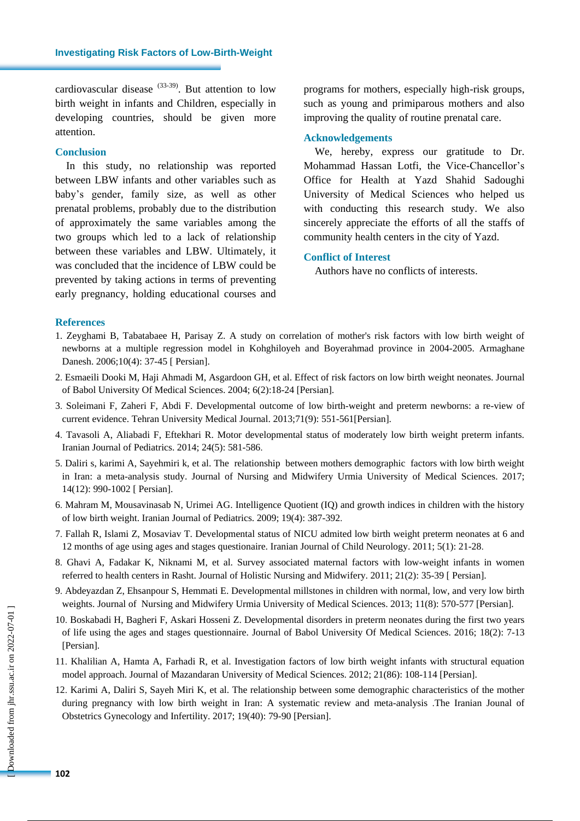cardiovascular disease  $(33-39)$ . But attention to low birth weight in infants and Children, especially in developing countries, should be given more attention.

## **Conclusion**

In this study, no relationship was reported between LBW infants and other variables such as baby's gender, family size, as well as other prenatal problems, probably due to the distribution of approximately the same variables among the two groups which led to a lack of relationship between these variables and LBW. Ultimately, it was concluded that the incidence of LBW could be prevented by taking actions in terms of preventing early pregnancy, holding educational courses and programs for mothers, especially high-risk groups, such as young and primiparous mothers and also improving the quality of routine prenatal care.

## **Acknowledgements**

We, hereby, express our gratitude to Dr. Mohammad Hassan Lotfi, the Vice-Chancellor's Office for Health at Yazd Shahid Sadoughi University of Medical Sciences who helped us with conducting this research study. We also sincerely appreciate the efforts of all the staffs of community health centers in the city of Yazd.

### **Conflict of Interest**

Authors have no conflicts of interests.

#### **References**

- 1. Zeyghami B, Tabatabaee H, Parisay Z. A study on correlation of mother's risk factors with low birth weight of newborns at a multiple regression model in Kohghiloyeh and Boyerahmad province in 2004-2005. Armaghane Danesh. 2006;10(4): 37-45 [ Persian].
- 2. Esmaeili Dooki M, Haji Ahmadi M, [Asgardoon GH,](http://www.sid.ir/En/Journal/SearchPaper.aspx?writer=28269) et al. Effect of risk factors on low birth weight neonates. Journal of Babol University Of Medical Sciences. 2004; 6(2):18-24 [Persian].
- 3. Soleimani F, Zaheri F, Abdi F. Developmental outcome of low birth-weight and preterm newborns: a re-view of current evidence. Tehran University Medical Journal. 2013;71(9): 551-561[Persian].
- 4. Tavasoli A, Aliabadi F, Eftekhari R. Motor developmental status of moderately low birth weight preterm infants. Iranian Journal of Pediatrics. 2014; 24(5): 581-586.
- 5. Daliri s, karimi A, Sayehmiri k, et al. The relationship between mothers demographic factors with low birth weight in Iran: a meta-analysis study. Journal of Nursing and Midwifery Urmia University of Medical Sciences. 2017; 14(12): 990-1002 [ Persian].
- 6. Mahram M, Mousavinasab N, Urimei AG. Intelligence Quotient (IQ) and growth indices in children with the history of low birth weight. Iranian Journal of Pediatrics. 2009; 19(4): 387-392.
- 7. Fallah R, Islami Z, Mosaviav T. Developmental status of NICU admited low birth weight preterm neonates at 6 and 12 months of age using ages and stages questionaire. Iranian Journal of Child Neurology. 2011; 5(1): 21-28.
- 8. Ghavi A, Fadakar K, Niknami M, et al. Survey associated maternal factors with low-weight infants in women referred to health centers in Rasht. Journal of Holistic Nursing and Midwifery. 2011; 21(2): 35-39 [ Persian].
- 9. Abdeyazdan Z, Ehsanpour S, Hemmati E. Developmental millstones in children with normal, low, and very low birth weights. Journal of Nursing and Midwifery Urmia University of Medical Sciences. 2013; 11(8): 570-577 [Persian].
- 10. Boskabadi H, Bagheri F, Askari Hosseni Z. Developmental disorders in preterm neonates during the first two years of life using the ages and stages questionnaire. Journal of Babol University Of Medical Sciences. 2016; 18(2): 7-13 [Persian].
- 11. Khalilian A, Hamta A, Farhadi R, et al. Investigation factors of low birth weight infants with structural equation model approach. Journal of Mazandaran University of Medical Sciences. 2012; 21(86): 108-114 [Persian].
- 12. Karimi A, Daliri S, Sayeh Miri K, et al. The relationship between some demographic characteristics of the mother during pregnancy with low birth weight in Iran: A systematic review and meta-analysis .The Iranian Jounal of Obstetrics Gynecology and Infertility. 2017; 19(40): 79-90 [Persian].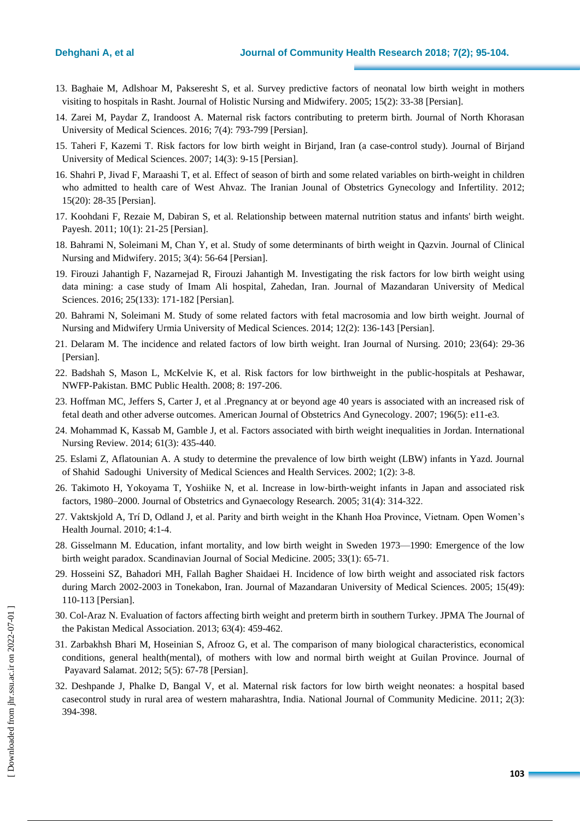- 13. Baghaie M, Adlshoar M, Pakseresht S, et al. Survey predictive factors of neonatal low birth weight in mothers visiting to hospitals in Rasht. Journal of Holistic Nursing and Midwifery. 2005; 15(2): 33-38 [Persian].
- 14. Zarei M, Paydar Z, Irandoost A. Maternal risk factors contributing to preterm birth. Journal of North Khorasan University of Medical Sciences. 2016; 7(4): 793-799 [Persian].
- 15. Taheri F, Kazemi T. Risk factors for low birth weight in Birjand, Iran (a case-control study). Journal of Birjand University of Medical Sciences. 2007; 14(3): 9-15 [Persian].
- 16. Shahri P, Jivad F, Maraashi T, et al. Effect of season of birth and some related variables on birth-weight in children who admitted to health care of West Ahvaz. The Iranian Jounal of Obstetrics Gynecology and Infertility. 2012; 15(20): 28-35 [Persian].
- 17. Koohdani F, Rezaie M, Dabiran S, et al. Relationship between maternal nutrition status and infants' birth weight. Payesh. 2011; 10(1): 21-25 [Persian].
- 18. Bahrami N, Soleimani M, Chan Y, et al. Study of some determinants of birth weight in Qazvin. Journal of Clinical Nursing and Midwifery. 2015; 3(4): 56-64 [Persian].
- 19. Firouzi Jahantigh F, Nazarnejad R, Firouzi Jahantigh M. Investigating the risk factors for low birth weight using data mining: a case study of Imam Ali hospital, Zahedan, Iran. Journal of Mazandaran University of Medical Sciences. 2016; 25(133): 171-182 [Persian].
- 20. Bahrami N, Soleimani M. Study of some related factors with fetal macrosomia and low birth weight. Journal of Nursing and Midwifery Urmia University of Medical Sciences. 2014; 12(2): 136-143 [Persian].
- 21. Delaram M. The incidence and related factors of low birth weight. Iran Journal of Nursing. 2010; 23(64): 29-36 [Persian].
- 22. Badshah S, Mason L, McKelvie K, et al. Risk factors for low birthweight in the public-hospitals at Peshawar, NWFP-Pakistan. BMC Public Health. 2008; 8: 197-206.
- 23. Hoffman MC, Jeffers S, Carter J, et al .Pregnancy at or beyond age 40 years is associated with an increased risk of fetal death and other adverse outcomes. American Journal of Obstetrics And Gynecology. 2007; 196(5): e11-e3.
- 24. Mohammad K, Kassab M, Gamble J, et al. Factors associated with birth weight inequalities in Jordan. International Nursing Review. 2014; 61(3): 435-440.
- 25. Eslami Z, Aflatounian A. A study to determine the prevalence of low birth weight (LBW) infants in Yazd. Journal of Shahid Sadoughi University of Medical Sciences and Health Services. 2002; 1(2): 3-8.
- 26. Takimoto H, Yokoyama T, Yoshiike N, et al. Increase in low‐birth‐weight infants in Japan and associated risk factors, 1980–2000. Journal of Obstetrics and Gynaecology Research. 2005; 31(4): 314-322.
- 27. Vaktskjold A, Trí D, Odland J, et al. Parity and birth weight in the Khanh Hoa Province, Vietnam. Open Women's Health Journal. 2010; 4:1-4.
- 28. Gisselmann M. Education, infant mortality, and low birth weight in Sweden 1973—1990: Emergence of the low birth weight paradox. Scandinavian Journal of Social Medicine. 2005; 33(1): 65-71.
- 29. Hosseini SZ, Bahadori MH, Fallah Bagher Shaidaei H. Incidence of low birth weight and associated risk factors during March 2002-2003 in Tonekabon, Iran. Journal of Mazandaran University of Medical Sciences. 2005; 15(49): 110-113 [Persian].
- 30. Col-Araz N. Evaluation of factors affecting birth weight and preterm birth in southern Turkey. JPMA The Journal of the Pakistan Medical Association. 2013; 63(4): 459-462.
- 31. Zarbakhsh Bhari M, Hoseinian S, Afrooz G, et al. The comparison of many biological characteristics, economical conditions, general health(mental), of mothers with low and normal birth weight at Guilan Province. Journal of Payavard Salamat. 2012; 5(5): 67-78 [Persian].
- 32. Deshpande J, Phalke D, Bangal V, et al. Maternal risk factors for low birth weight neonates: a hospital based casecontrol study in rural area of western maharashtra, India. National Journal of Community Medicine. 2011; 2(3): 394-398.